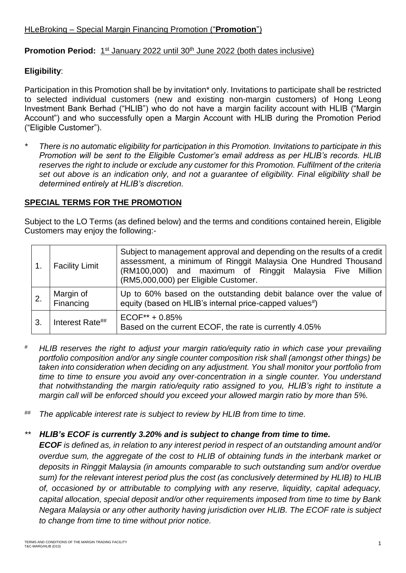### Promotion Period: 1<sup>st</sup> January 2022 until 30<sup>th</sup> June 2022 (both dates inclusive)

## **Eligibility**:

Participation in this Promotion shall be by invitation\* only. Invitations to participate shall be restricted to selected individual customers (new and existing non-margin customers) of Hong Leong Investment Bank Berhad ("HLIB") who do not have a margin facility account with HLIB ("Margin Account") and who successfully open a Margin Account with HLIB during the Promotion Period ("Eligible Customer").

*\* There is no automatic eligibility for participation in this Promotion. Invitations to participate in this Promotion will be sent to the Eligible Customer's email address as per HLIB's records. HLIB reserves the right to include or exclude any customer for this Promotion. Fulfilment of the criteria set out above is an indication only, and not a guarantee of eligibility. Final eligibility shall be determined entirely at HLIB's discretion.* 

## **SPECIAL TERMS FOR THE PROMOTION**

Subject to the LO Terms (as defined below) and the terms and conditions contained herein, Eligible Customers may enjoy the following:-

|    | <b>Facility Limit</b>  | Subject to management approval and depending on the results of a credit  <br>assessment, a minimum of Ringgit Malaysia One Hundred Thousand<br>(RM100,000) and maximum of Ringgit Malaysia Five Million<br>(RM5,000,000) per Eligible Customer. |
|----|------------------------|-------------------------------------------------------------------------------------------------------------------------------------------------------------------------------------------------------------------------------------------------|
|    | Margin of<br>Financing | Up to 60% based on the outstanding debit balance over the value of<br>equity (based on HLIB's internal price-capped values#)                                                                                                                    |
| 3. | Interest Rate##        | $ECOF^{**} + 0.85\%$<br>Based on the current ECOF, the rate is currently 4.05%                                                                                                                                                                  |

- *# HLIB reserves the right to adjust your margin ratio/equity ratio in which case your prevailing portfolio composition and/or any single counter composition risk shall (amongst other things) be taken into consideration when deciding on any adjustment. You shall monitor your portfolio from time to time to ensure you avoid any over-concentration in a single counter. You understand that notwithstanding the margin ratio/equity ratio assigned to you, HLIB's right to institute a margin call will be enforced should you exceed your allowed margin ratio by more than 5%.*
- *## The applicable interest rate is subject to review by HLIB from time to time.*

# *\*\* HLIB's ECOF is currently 3.20% and is subject to change from time to time.*

*ECOF is defined as, in relation to any interest period in respect of an outstanding amount and/or overdue sum, the aggregate of the cost to HLIB of obtaining funds in the interbank market or deposits in Ringgit Malaysia (in amounts comparable to such outstanding sum and/or overdue sum) for the relevant interest period plus the cost (as conclusively determined by HLIB) to HLIB of, occasioned by or attributable to complying with any reserve, liquidity, capital adequacy, capital allocation, special deposit and/or other requirements imposed from time to time by Bank Negara Malaysia or any other authority having jurisdiction over HLIB. The ECOF rate is subject to change from time to time without prior notice.*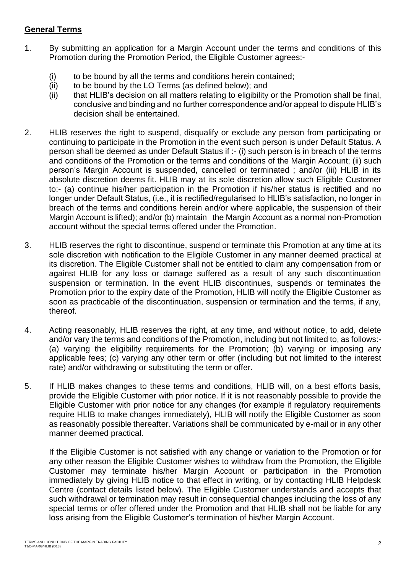#### **General Terms**

- 1. By submitting an application for a Margin Account under the terms and conditions of this Promotion during the Promotion Period, the Eligible Customer agrees:-
	- (i) to be bound by all the terms and conditions herein contained;
	- (ii) to be bound by the LO Terms (as defined below); and
	- (ii) that HLIB's decision on all matters relating to eligibility or the Promotion shall be final, conclusive and binding and no further correspondence and/or appeal to dispute HLIB's decision shall be entertained.
- 2. HLIB reserves the right to suspend, disqualify or exclude any person from participating or continuing to participate in the Promotion in the event such person is under Default Status. A person shall be deemed as under Default Status if :- (i) such person is in breach of the terms and conditions of the Promotion or the terms and conditions of the Margin Account; (ii) such person's Margin Account is suspended, cancelled or terminated ; and/or (iii) HLIB in its absolute discretion deems fit. HLIB may at its sole discretion allow such Eligible Customer to:- (a) continue his/her participation in the Promotion if his/her status is rectified and no longer under Default Status, (i.e., it is rectified/regularised to HLIB's satisfaction, no longer in breach of the terms and conditions herein and/or where applicable, the suspension of their Margin Account is lifted); and/or (b) maintain the Margin Account as a normal non-Promotion account without the special terms offered under the Promotion.
- 3. HLIB reserves the right to discontinue, suspend or terminate this Promotion at any time at its sole discretion with notification to the Eligible Customer in any manner deemed practical at its discretion. The Eligible Customer shall not be entitled to claim any compensation from or against HLIB for any loss or damage suffered as a result of any such discontinuation suspension or termination. In the event HLIB discontinues, suspends or terminates the Promotion prior to the expiry date of the Promotion, HLIB will notify the Eligible Customer as soon as practicable of the discontinuation, suspension or termination and the terms, if any, thereof.
- 4. Acting reasonably, HLIB reserves the right, at any time, and without notice, to add, delete and/or vary the terms and conditions of the Promotion, including but not limited to, as follows:- (a) varying the eligibility requirements for the Promotion; (b) varying or imposing any applicable fees; (c) varying any other term or offer (including but not limited to the interest rate) and/or withdrawing or substituting the term or offer.
- 5. If HLIB makes changes to these terms and conditions, HLIB will, on a best efforts basis, provide the Eligible Customer with prior notice. If it is not reasonably possible to provide the Eligible Customer with prior notice for any changes (for example if regulatory requirements require HLIB to make changes immediately), HLIB will notify the Eligible Customer as soon as reasonably possible thereafter. Variations shall be communicated by e-mail or in any other manner deemed practical.

If the Eligible Customer is not satisfied with any change or variation to the Promotion or for any other reason the Eligible Customer wishes to withdraw from the Promotion, the Eligible Customer may terminate his/her Margin Account or participation in the Promotion immediately by giving HLIB notice to that effect in writing, or by contacting HLIB Helpdesk Centre (contact details listed below). The Eligible Customer understands and accepts that such withdrawal or termination may result in consequential changes including the loss of any special terms or offer offered under the Promotion and that HLIB shall not be liable for any loss arising from the Eligible Customer's termination of his/her Margin Account.